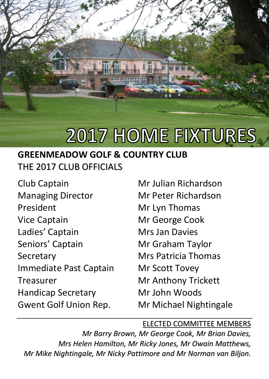

# **2017 HOME FIXTURES**

### **GREENMEADOW GOLF & COUNTRY CLUB**  THE 2017 CLUB OFFICIALS

Club Captain Managing Director President Vice Captain Ladies' Captain Seniors' Captain **Secretary** Immediate Past Captain Treasurer Handicap Secretary Gwent Golf Union Rep.

Mr Julian Richardson Mr Peter Richardson Mr Lyn Thomas Mr George Cook Mrs Jan Davies Mr Graham Taylor Mrs Patricia Thomas Mr Scott Tovey Mr Anthony Trickett Mr John Woods Mr Michael Nightingale

#### ELECTED COMMITTEE MEMBERS

*Mr Barry Brown, Mr George Cook, Mr Brian Davies, Mrs Helen Hamilton, Mr Ricky Jones, Mr Owain Matthews, Mr Mike Nightingale, Mr Nicky Pattimore and Mr Norman van Biljon.*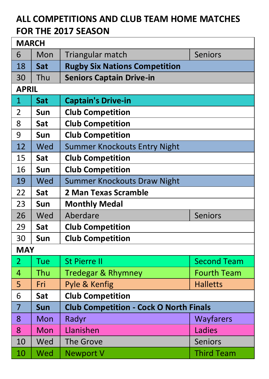## **ALL COMPETITIONS AND CLUB TEAM HOME MATCHES FOR THE 2017 SEASON**

| <b>MARCH</b>   |                                        |                                               |                    |  |
|----------------|----------------------------------------|-----------------------------------------------|--------------------|--|
| 6              | Mon                                    | Triangular match                              | <b>Seniors</b>     |  |
| 18             | Sat                                    | <b>Rugby Six Nations Competition</b>          |                    |  |
| 30             | Thu<br><b>Seniors Captain Drive-in</b> |                                               |                    |  |
| <b>APRIL</b>   |                                        |                                               |                    |  |
| 1              | Sat                                    | <b>Captain's Drive-in</b>                     |                    |  |
| $\overline{2}$ | Sun                                    | <b>Club Competition</b>                       |                    |  |
| 8              | Sat                                    | <b>Club Competition</b>                       |                    |  |
| 9              | Sun                                    | <b>Club Competition</b>                       |                    |  |
| 12             | Wed                                    | <b>Summer Knockouts Entry Night</b>           |                    |  |
| 15             | Sat                                    | <b>Club Competition</b>                       |                    |  |
| 16             | Sun                                    | <b>Club Competition</b>                       |                    |  |
| 19             | Wed                                    | Summer Knockouts Draw Night                   |                    |  |
| 22             | Sat                                    | 2 Man Texas Scramble                          |                    |  |
| 23             | Sun                                    | <b>Monthly Medal</b>                          |                    |  |
| 26             | Wed                                    | Aberdare                                      | <b>Seniors</b>     |  |
| 29             | Sat                                    | <b>Club Competition</b>                       |                    |  |
| 30             | Sun                                    | <b>Club Competition</b>                       |                    |  |
| <b>MAY</b>     |                                        |                                               |                    |  |
| $\overline{2}$ | Tue                                    | <b>St Pierre II</b>                           | <b>Second Team</b> |  |
| 4              | Thu                                    | <b>Tredegar &amp; Rhymney</b>                 | <b>Fourth Team</b> |  |
| 5              | Fri                                    | Pyle & Kenfig<br><b>Halletts</b>              |                    |  |
| 6              | Sat                                    | <b>Club Competition</b>                       |                    |  |
| $\overline{7}$ | Sun                                    | <b>Club Competition - Cock O North Finals</b> |                    |  |
| 8              | Mon                                    | Radyr                                         | Wayfarers          |  |
| 8              | Mon                                    | Llanishen                                     | Ladies             |  |
| 10             | Wed                                    | <b>The Grove</b>                              | Seniors            |  |
| 10             | Wed                                    | <b>Newport V</b>                              | <b>Third Team</b>  |  |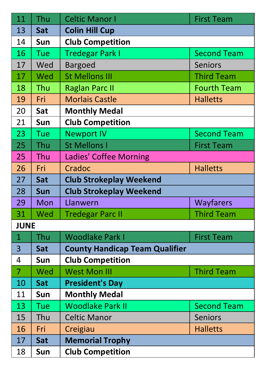| 11             | Thu        | <b>Celtic Manor I</b>                 | <b>First Team</b>  |  |
|----------------|------------|---------------------------------------|--------------------|--|
| 13             | Sat        | <b>Colin Hill Cup</b>                 |                    |  |
| 14             | Sun        | <b>Club Competition</b>               |                    |  |
| 16             | Tue        | <b>Tredegar Park I</b>                | <b>Second Team</b> |  |
| 17             | Wed        | <b>Bargoed</b>                        | Seniors            |  |
| 17             | Wed        | <b>St Mellons III</b>                 | <b>Third Team</b>  |  |
| 18             | Thu        | <b>Raglan Parc II</b>                 | <b>Fourth Team</b> |  |
| 19             | Fri        | <b>Morlais Castle</b>                 | <b>Halletts</b>    |  |
| 20             | Sat        | <b>Monthly Medal</b>                  |                    |  |
| 21             | Sun        | <b>Club Competition</b>               |                    |  |
| 23             | Tue        | <b>Newport IV</b>                     | <b>Second Team</b> |  |
| 25             | Thu        | <b>St Mellons I</b>                   | <b>First Team</b>  |  |
| 25             | Thu        | Ladies' Coffee Morning                |                    |  |
| 26             | Fri        | Cradoc                                | <b>Halletts</b>    |  |
| 27             | Sat        | <b>Club Strokeplay Weekend</b>        |                    |  |
| 28             | <b>Sun</b> | <b>Club Strokeplay Weekend</b>        |                    |  |
| 29             | Mon        | Llanwern                              | Wayfarers          |  |
| 31             | Wed        | <b>Tredegar Parc II</b>               | <b>Third Team</b>  |  |
| <b>JUNE</b>    |            |                                       |                    |  |
| $\mathbf{1}$   | Thu        | <b>Woodlake Park I</b>                | <b>First Team</b>  |  |
| 3              | Sat        | <b>County Handicap Team Qualifier</b> |                    |  |
| 4              | Sun        | <b>Club Competition</b>               |                    |  |
| $\overline{7}$ | Wed        | <b>West Mon III</b>                   | <b>Third Team</b>  |  |
| 10             | Sat        | <b>President's Day</b>                |                    |  |
| 11             | Sun        | <b>Monthly Medal</b>                  |                    |  |
| 13             | Tue        | <b>Woodlake Park II</b>               | <b>Second Team</b> |  |
| 15             | Thu        | <b>Celtic Manor</b>                   | Seniors            |  |
| 16             | Fri        | Creigiau                              | <b>Halletts</b>    |  |
| 17             | Sat        | <b>Memorial Trophy</b>                |                    |  |
| 18             | Sun        | <b>Club Competition</b>               |                    |  |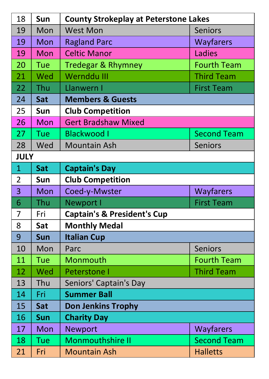| 18             | Sun         | <b>County Strokeplay at Peterstone Lakes</b>  |                    |  |  |  |
|----------------|-------------|-----------------------------------------------|--------------------|--|--|--|
| 19             | Mon         | <b>West Mon</b><br><b>Seniors</b>             |                    |  |  |  |
| 19             | Mon         | <b>Ragland Parc</b><br>Wayfarers              |                    |  |  |  |
| 19             | Mon         | <b>Celtic Manor</b><br>Ladies                 |                    |  |  |  |
| 20             | Tue         | <b>Tredegar &amp; Rhymney</b>                 | <b>Fourth Team</b> |  |  |  |
| 21             | Wed         | Wernddu III                                   | <b>Third Team</b>  |  |  |  |
| 22             | Thu         | Llanwern I                                    | <b>First Team</b>  |  |  |  |
| 24             | Sat         | <b>Members &amp; Guests</b>                   |                    |  |  |  |
| 25             | Sun         | <b>Club Competition</b>                       |                    |  |  |  |
| 26             | Mon         | <b>Gert Bradshaw Mixed</b>                    |                    |  |  |  |
| 27             | Tue         | <b>Blackwood I</b><br><b>Second Team</b>      |                    |  |  |  |
| 28             | Wed         | Mountain Ash                                  | <b>Seniors</b>     |  |  |  |
|                | <b>JULY</b> |                                               |                    |  |  |  |
| $\mathbf{1}$   | Sat         | <b>Captain's Day</b>                          |                    |  |  |  |
| $\overline{2}$ | Sun         | <b>Club Competition</b>                       |                    |  |  |  |
| 3              | Mon         | Coed-y-Mwster                                 | Wayfarers          |  |  |  |
| 6              | Thu         | <b>First Team</b><br><b>Newport I</b>         |                    |  |  |  |
| 7              | Fri         | <b>Captain's &amp; President's Cup</b>        |                    |  |  |  |
| 8              | Sat         | <b>Monthly Medal</b>                          |                    |  |  |  |
| 9              | <b>Sun</b>  | <b>Italian Cup</b>                            |                    |  |  |  |
| 10             | Mon         | Parc                                          | <b>Seniors</b>     |  |  |  |
| 11             | Tue         | Monmouth<br><b>Fourth Team</b>                |                    |  |  |  |
| 12             | Wed         | <b>Third Team</b><br><b>Peterstone I</b>      |                    |  |  |  |
| 13             | Thu         | Seniors' Captain's Day                        |                    |  |  |  |
| 14             | Fri         | <b>Summer Ball</b>                            |                    |  |  |  |
| 15             | Sat         | <b>Don Jenkins Trophy</b>                     |                    |  |  |  |
| 16             | <b>Sun</b>  | <b>Charity Day</b>                            |                    |  |  |  |
| 17             | Mon         | <b>Newport</b>                                | Wayfarers          |  |  |  |
| 18             | Tue         | <b>Monmouthshire II</b><br><b>Second Team</b> |                    |  |  |  |
| 21             | Fri         | <b>Mountain Ash</b>                           | <b>Halletts</b>    |  |  |  |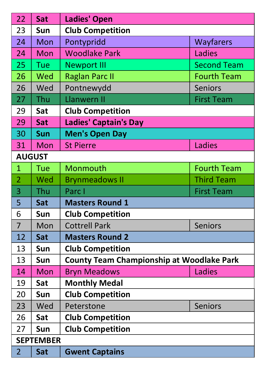| 22               | Sat           | <b>Ladies' Open</b>                              |                    |  |  |
|------------------|---------------|--------------------------------------------------|--------------------|--|--|
| 23               | Sun           | <b>Club Competition</b>                          |                    |  |  |
| 24               | Mon           | Pontypridd                                       | Wayfarers          |  |  |
| 24               | Mon           | <b>Woodlake Park</b><br>Ladies                   |                    |  |  |
| 25               | Tue           | <b>Newport III</b>                               | <b>Second Team</b> |  |  |
| 26               | Wed           | <b>Raglan Parc II</b>                            | <b>Fourth Team</b> |  |  |
| 26               | Wed           | Pontnewydd                                       | <b>Seniors</b>     |  |  |
| 27               | Thu           | <b>Llanwern II</b>                               | <b>First Team</b>  |  |  |
| 29               | Sat           | <b>Club Competition</b>                          |                    |  |  |
| 29               | Sat           | <b>Ladies' Captain's Day</b>                     |                    |  |  |
| 30               | Sun           | <b>Men's Open Day</b>                            |                    |  |  |
| 31               | Mon           | <b>St Pierre</b>                                 | Ladies             |  |  |
|                  | <b>AUGUST</b> |                                                  |                    |  |  |
| $\mathbf{1}$     | Tue           | Monmouth                                         | <b>Fourth Team</b> |  |  |
| $\overline{a}$   | Wed           | <b>Brynmeadows II</b>                            | <b>Third Team</b>  |  |  |
| 3                | Thu           | Parc I                                           | <b>First Team</b>  |  |  |
| 5                | Sat           | <b>Masters Round 1</b>                           |                    |  |  |
| 6                | Sun           | <b>Club Competition</b>                          |                    |  |  |
| $\overline{7}$   | Mon           | <b>Cottrell Park</b>                             | <b>Seniors</b>     |  |  |
| 12               | Sat           | <b>Masters Round 2</b>                           |                    |  |  |
| 13               | Sun           | <b>Club Competition</b>                          |                    |  |  |
| 13               | Sun           | <b>County Team Championship at Woodlake Park</b> |                    |  |  |
| 14               | Mon           | <b>Bryn Meadows</b>                              | Ladies             |  |  |
| 19               | Sat           | <b>Monthly Medal</b>                             |                    |  |  |
| 20               | Sun           | <b>Club Competition</b>                          |                    |  |  |
| 23               | Wed           | Peterstone                                       | <b>Seniors</b>     |  |  |
| 26               | Sat           | <b>Club Competition</b>                          |                    |  |  |
| 27               | Sun           | <b>Club Competition</b>                          |                    |  |  |
| <b>SEPTEMBER</b> |               |                                                  |                    |  |  |
| $\overline{2}$   | Sat           | <b>Gwent Captains</b>                            |                    |  |  |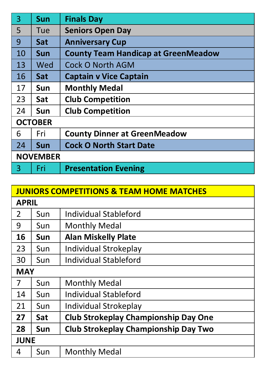| $\overline{3}$  | <b>Sun</b> | <b>Finals Day</b>                          |
|-----------------|------------|--------------------------------------------|
| 5               | Tue        | <b>Seniors Open Day</b>                    |
| 9               | Sat        | <b>Anniversary Cup</b>                     |
| 10              | Sun        | <b>County Team Handicap at GreenMeadow</b> |
| 13              | Wed        | Cock O North AGM                           |
| 16              | Sat        | <b>Captain v Vice Captain</b>              |
| 17              | Sun        | <b>Monthly Medal</b>                       |
| 23              | Sat        | <b>Club Competition</b>                    |
| 24              | Sun        | <b>Club Competition</b>                    |
| <b>OCTOBER</b>  |            |                                            |
| 6               | Fri        | <b>County Dinner at GreenMeadow</b>        |
| 24              | <b>Sun</b> | <b>Cock O North Start Date</b>             |
| <b>NOVEMBER</b> |            |                                            |
| 3               | Fri        | <b>Presentation Evening</b>                |

| <b>JUNIORS COMPETITIONS &amp; TEAM HOME MATCHES</b> |              |                                             |  |  |
|-----------------------------------------------------|--------------|---------------------------------------------|--|--|
|                                                     | <b>APRIL</b> |                                             |  |  |
| 2                                                   | Sun          | Individual Stableford                       |  |  |
| 9                                                   | Sun          | Monthly Medal                               |  |  |
| 16                                                  | Sun          | <b>Alan Miskelly Plate</b>                  |  |  |
| 23                                                  | Sun          | Individual Strokeplay                       |  |  |
| 30                                                  | Sun          | Individual Stableford                       |  |  |
| <b>MAY</b>                                          |              |                                             |  |  |
| 7                                                   | Sun          | Monthly Medal                               |  |  |
| 14                                                  | Sun          | Individual Stableford                       |  |  |
| 21                                                  | Sun          | Individual Strokeplay                       |  |  |
| 27                                                  | Sat          | <b>Club Strokeplay Championship Day One</b> |  |  |
| 28                                                  | Sun          | Club Strokeplay Championship Day Two        |  |  |
| <b>JUNE</b>                                         |              |                                             |  |  |
| 4                                                   | Sun          | Monthly Medal                               |  |  |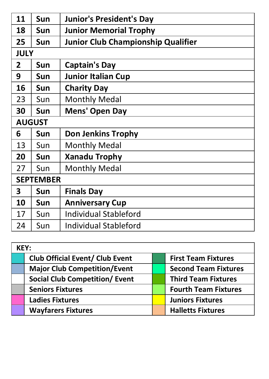| 11               | <b>Sun</b>    | <b>Junior's President's Day</b>    |  |
|------------------|---------------|------------------------------------|--|
| 18               | Sun           | <b>Junior Memorial Trophy</b>      |  |
| 25               | Sun           | Junior Club Championship Qualifier |  |
|                  | <b>JULY</b>   |                                    |  |
| 2                | Sun           | Captain's Day                      |  |
| 9                | Sun           | <b>Junior Italian Cup</b>          |  |
| 16               | Sun           | <b>Charity Day</b>                 |  |
| 23               | Sun           | <b>Monthly Medal</b>               |  |
| 30               | Sun           | Mens' Open Day                     |  |
|                  | <b>AUGUST</b> |                                    |  |
| 6                | <b>Sun</b>    | Don Jenkins Trophy                 |  |
| 13               | Sun           | <b>Monthly Medal</b>               |  |
| 20               | Sun           | <b>Xanadu Trophy</b>               |  |
| 27               | Sun           | <b>Monthly Medal</b>               |  |
| <b>SEPTEMBER</b> |               |                                    |  |
| 3                | Sun           | <b>Finals Day</b>                  |  |
| 10               | Sun           | <b>Anniversary Cup</b>             |  |
| 17               | Sun           | Individual Stableford              |  |
| 24               | Sun           | Individual Stableford              |  |

| KEY: |                                       |  |                             |
|------|---------------------------------------|--|-----------------------------|
|      | Club Official Event/ Club Event       |  | <b>First Team Fixtures</b>  |
|      | <b>Major Club Competition/Event</b>   |  | <b>Second Team Fixtures</b> |
|      | <b>Social Club Competition/ Event</b> |  | <b>Third Team Fixtures</b>  |
|      | <b>Seniors Fixtures</b>               |  | <b>Fourth Team Fixtures</b> |
|      | <b>Ladies Fixtures</b>                |  | <b>Juniors Fixtures</b>     |
|      | <b>Wayfarers Fixtures</b>             |  | <b>Halletts Fixtures</b>    |